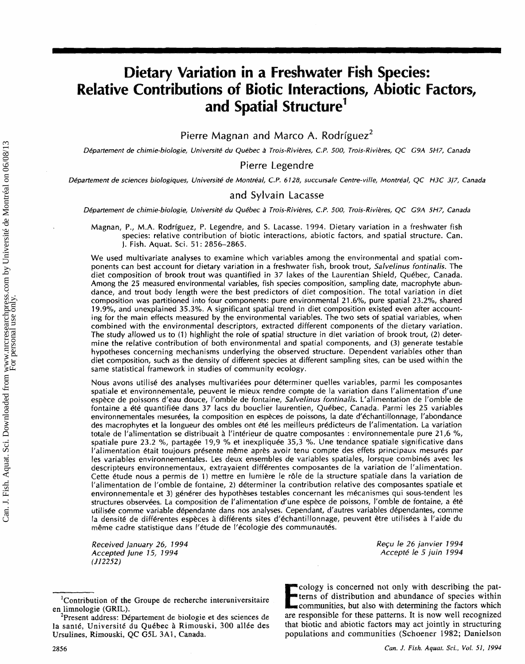# **Dietary Variation in a Freshwater Fish Species: Relative Contributions of Biotic nteractions, Abiotic Factors,**  and Spatial Structure<sup>1</sup>

## Pierre Magnan and Marco A. Rodríguez<sup>2</sup>

Département de chimie-biologie, Université du Québec à Trois-Rivières, C.P. 500, Trois-Rivières, QC G9A 5H7, Canada

## Pierre Legendre

**Bkparternent de sciences biologiques, Universird** *de* **Montrdab, C.** P. **6 47 24 succursale Centre- vible, lkdontr&ai/ QC H3C 3]7/ Canada** 

## and Sylvain Lacasse

**D&parfernent de chirnie-bio!ogiet Universifk** du **Qb66bec** *B* **Trois-Rivi6resI C.P. 500) Trois-Rivi&res,** QC **G9A 5H7/ Canada** 

Magnan, **P.,** M.A. Rodriguez, **P.** Legendre, and **S.** Lacasse. 1994. Dietary variation in a freshwater fish species: relative contribution of biotic interactions, abiotic factors, and spatial structure. Can. **J.** Fish. Aquat. Sci. 51 : 2856-2865.

We used multivariate analyses to examine which variables among the environmental and spatial components can best account for dietary variation in a freshwater fish, brook trout, *Salvelinus fontinalis*. The diet composition of brook trout was quantified in 37 lakes of the Laurentian Shield, Québec, Canada. Among the 25 measured environmental variables, fish species composition, sampling date, macrophyte abundance, and trout body length were the best predictors of diet composition. The total variation in diet composition was partitioned into four components: pure environmental 21.6%, pure spatial 23.2%, shared 1 9.9%, and u nexplained 35.3%. A significant spatial trend in diet composition existed even after accounting for the main effects measured by the environmental variables. The two sets of spatial variables, when combined with the environmental descriptors, extracted different components of the dietary variation. The study aliowed us to **(1)** highlight the role of spatial structure in diet variation sf brook trout, **(2)** determine the relative contribution of both environmental and spatial components, and (3) generate testable hypotheses concerning mechanisms underlying the observed structure. Dependent variables other than diet composition, such as the density of different species at different sampling sites, can be used within the same statistical framework in studies of community ecology.

Nous avons utilise des analyses multivariees pour determiner quelles variables, parmi les composantes spatiale et environnementale, peuvent le mieux rendre compte de la variation dans l'alimentation d'une espèce de poissons d'eau douce, l'omble de fontaine, *Salvelinus fontinalis*. L'alimentation de l'omble de fontaine a été quantifiée dans 37 lacs du bouclier laurentien, Québec, Canada. Parmi les 25 variables environnementales mesurées, la composition en espèces de poissons, la date d'échantillonnage, l'abondance des macrophytes et la longueur des ombles ont 4t6 les meilleurs predicteurs de Ifalimentation. La variation totale de I'alimentation se distribuait **2** I'interieur de quatre composantes : environnernentale pure 21,6 %, spatiale pure 23.2 %, partagee **19,9** % et inexpliquee 35,3 %. Une tendance spatiale significative dans l'alimentation était toujours présente même après avoir tenu compte des effets principaux mesurés par les variables environnementales. Les deux ensembles de variables spatiales, lorsque combines avec les descripteurs environnementaux, extrayaient différentes composantes de la variation de l'alimentation. Cette etude nous a permis de **1)** mettre en Iurniere le r61e de la structure spatiale dans la variation de I'alimentation de I'omble de fontaine, 2) d6terrniner la contribution relative des composantes spatiale et environnementale et 3) générer des hypothèses testables concernant les mécanismes qui sous-tendent les structures observées. La composition de l'alimentation d'une espèce de poissons, l'omble de fontaine, a été utilisee comrne variable d6pendante dans nos analyses. Cependant, d'autres variables dependantes, comme la densité de différentes espèces à différents sites d'échantillonnage, peuvent être utilisées à l'aide du même cadre statistique dans l'étude de l'écologie des communautés.

**Received January 26, 7 994 Accepted June 15, 1994**  *(JP22.52)* 

**Re~u Be** 26 **janvier** *I994*  **Accept4 le 5 juiw** % *994* 

**cology** is concerned not only with describing the pat-<sup>1</sup>Contribution of the Groupe de recherche interuniversitaire **the state of distribution and abundance of species within en limnologie (GRIL). end communities, but also with determining the factors which are responsible for these patterns. It is now well recognized** <sup>2</sup> Present address: Département de biologie et des sciences de **are responsible for these patterns. It is now well recognized santé. Université du Québec à Rimouski, 300 allée des that biotic and abiotic factors may act j populations and communities (Schoener 1982; Danielson** 

la santé, Université du Québec à Rimouski, 300 allée des Ursulines, Rimouski, QC G5L 3A1, Canada.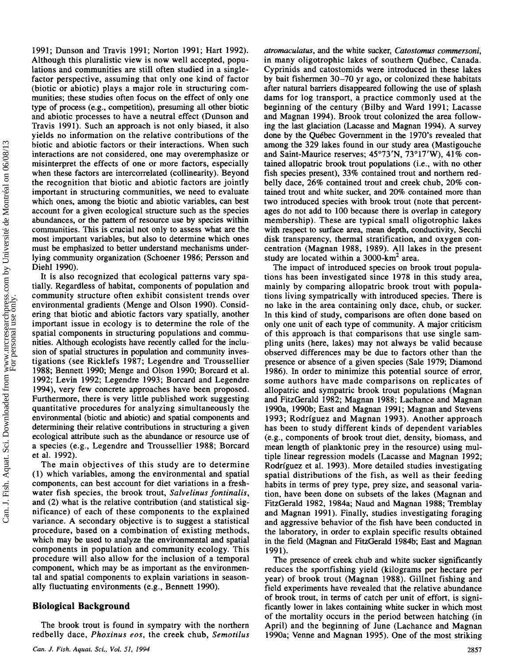1991: Dunson and Travis 1991; Norton 1991; Hart 1992). Although this pluralistic view is now well accepted, populations and communities are still often studied in a singlefactor perspective, assuming that only one kind of factor (biotic or abiotic) plays a major role in structuring communities; these studies often focus on the effect of only one type of process (e.g., competition), presuming all other biotic and abiotic processes to have a neutral effect (Dunson and Travis 1991). Such an approach is not only biased, it also yields no information on the relative contributions of the biotic and abiotic factors or their interactions. When such interactions are not considered, one may overemphasize or misinterpret the effects of one or more factors, especially when these factors are intercorrelated (collinearity). Beyond the recognition that biotic and abiotic factors are jointly important in structuring communities, we need to evaluate which ones, among the biotic and abiotic variables, can best account for a given ecological structure such as the species abundances, or the pattern of resource use by species within communities. This is crucial not only to assess what are the most important variables, but also to determine which ones must be emphasized to better understand mechanisms underlying community organization (Schoener 1986; Persson and Diehl 1990).

It is also recognized that ecological patterns vary spatially. Regardless of habitat, components of population and community structure often exhibit consistent trends over environmental gradients (Menge and Olson 1990). Considering that biotic and abiotic factors vary spatially, another important issue in ecology is to determine the role of the spatial components in structuring populations and communities. Although ecologists have recently called for the inclusion of spatial structures in population and community investigations (see Ricklefs 1987; Legendre and Troussellier 1988; Bennett 1990; Menge and Olson 1990; Borcard et al. 1982; Levin 1992; Legendre 1993; Borcard and Legendre 1994), very few concrete approaches have been proposed. Furthermore, there is very little published work suggesting quantitative procedures for analyzing simultaneously the environmental (biotic and abiotic) and spatial components and determining their relative contributions in structuring a given ecological attribute such as the abundance or resource use of a species (e.g., Legendre and Troussellier 1988; Borcard et al. 1992).

The main objectives of this study are to determine **(1)** which variables, among the environmental and spatial components, can best account for diet variations in a freshwater fish species, the brook trout, Salvelinus fontinalis, and (2) what is the relative contribution (and statistical significance) of each of these components to the explained variance. A secondary objective is to suggest a statistical procedure, based on a combination of existing methods, which may be used to analyze the environmental and spatial components in population and community ecology. This procedure will also allow for the inclusion of a temporal component, which may be as important as the environmental and spatial components to explain variations in seasonally fluctuating environments (e.g., Bennett 1990).

## **Biological Background**

The brook trout is found in sympatry with the northern redbelly dace, Phoxinus eos, the creek chub, Semotilus

atromaculatus, and the white sucker, Catostomus commersoni, in many oligotrophic lakes of southern Ouébec, Canada. Cyprinids and catostomids were introduced in these lakes by bait fishermen 30-70 yr ago, or colonized these habitats after natural barriers disappeared following the use of splash dams for log transport, a practice commonly used at the beginning of the century (Bilby and Ward 1991; Lacasse and Magnan 1994). Brook trout colonized the area following the last glaciation (Lacasse and Magnan 1994). A survey done by the Québec Government in the 1970's revealed that among the 329 lakes found in our study area (Mastigouche and Saint-Maurice reserves;  $45^{\circ}73'N$ ,  $73^{\circ}17'W$ ),  $41\%$  contained allopatric brook trout populations (i.e., with no other fish species present), 33% contained trout and northern redbelly dace, 26% contained trout and creek chub, 20% contained trout and white sucker, and 20% contained more than two introduced species with brook trout (note that percentages do not add to 100 because there is overlap in category membership). These are typical small oligotrophic lakes with respect to surface area, mean depth, conductivity, Secchi disk transparency, thermal stratification, and oxygen concentration (Magnan 1988, 1989). All lakes in the present study are located within a  $3000 \text{-} \text{km}^2$  area.

The impact of introduced species on brook trout populations has been investigated since 1978 in this study area, mainly by comparing allopatric brook trout with populations living sympatrically with introduced species. There is no lake in the area containing only dace, chub, or sucker. In this kind of study, comparisons are often done based on only one unit of each type of community. A major criticism of this approach is that comparisons that use single sampling units (here, lakes) may not always be valid because observed differences may be due to factors other than the presence or absence of a given species (Sale 1979; Diamond 1986). In order to minimize this potential source of error, some authors have made comparisons on replicates of allopatric and sympatric brook trout populations (Magnan and FitzGerald 1982; Magnan 1988; Lachance and Magnan 1990a, 1990b; East and Magnan 1991; Magnan and Stevens 1993; Rodriguez and Magnan 1993). Another approach has been to study different kinds of dependent variables (e.g., components of brook trout diet, density, biomass, and mean length of planktonic prey in the resource) using multiple linear regression models (Lacasse and Magnan 1992; Rodriguez et a!. 1993). More detailed studies investigating spatial distributions of the fish, as well as their feeding habits in terms of prey type, prey size, and seasonal variation, have been done on subsets of the lakes (Magnan and FitzGerald 1982, 1984a; Naud and Magnan 1988; Tremblay and Magnan 1991). Finally, studies investigating foraging and aggressive behavior of the fish have been conducted in the laboratory, in order to explain specific results obtained in the field (Magnan and FitzGerald 1984b; East and Magnan 1991).

The presence of creek chub and white sucker significantly reduces the sportfishing yield (kilograms per hectare per year) of brook trout (Magnan 1988). Gillnet fishing and field experiments have revealed that the relative abundance of brook trout, in terms of catch per unit of effort, is significantly lower in lakes containing white sucker in which most of the mortality occurs in the period between hatching (in April) and the beginning of June (Lachance and Magnan 1990a; Venne and Magnan 1995). One of the most striking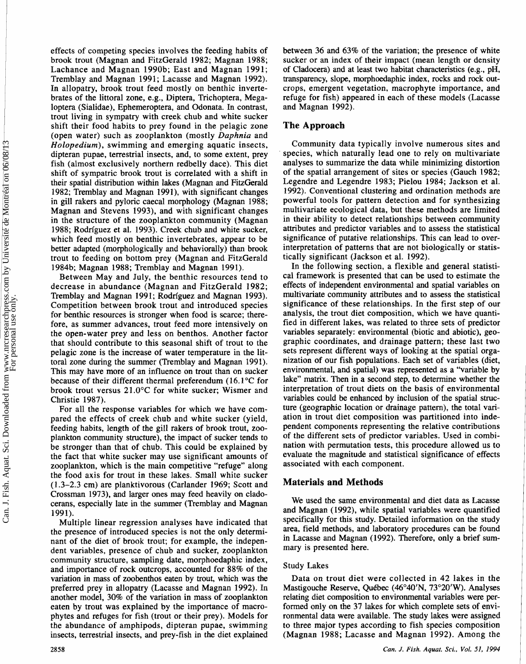Can. J. Fish. Aquat. Sci. Downloaded from www.nrcresearchpress.com by Université de Montréal on 06/08/13 Can. J. Fish. Aquat. Sci. Downloaded from www.nrcresearchpress.com by Université de Montréal on 06/08/13 For personal use only.

effects of competing species involves the feeding habits of brook trout (Magnan and FitzGerald 1982; Magnan 1988; Lachance and Magnan 1990b; East and Magnan 1991; Tremblay and Magnan 1991; Lacasse and Magnan 1992). In allopatry, brook trout feed mostly on benthic invertebrates of the littoral zone, e.g., Diptera, Trichoptera, Megaloptera (Sialidae), Ephemeroptera, and Odonata. **In** contrast, trout living in sympatry with creek chub and white sucker shift their food habits to prey found in the pelagic zone (open water) such as zooplankton (mostly *Daphnia* and *Hslepedium),* swimming and emerging aquatic insects, dipteran pupae, terrestrial insects, and, to some extent, prey fish (almost exclusively northern redbelly dace). This diet shift of sympatric brook trout is correlated with a shift in their spatial distribution within lakes (Magnan and FitzGerald 1982; Tremblay and Magnan 1991), with significant changes in gill rakers and pyloric caecal morphology (Magnan 1988; Magnan and Stevens 1993), and with significant changes in the structure of the zooplankton community (Magnan 1988; Rodrfguez et al. 1993). Creek chub and white sucker, which feed mostly on benthic invertebrates, appear to be better adapted (morphologically and behaviorally) than brook trout to feeding on bottom prey (Magnan and FitzGerald 1984b; Magnan 1988; Tremblay and Magnan 1991).

Between May and July, the benthic resources tend to decrease in abundance (Magnan and FitzGerald 1982; Tremblay and Magnan 1991; Rodríguez and Magnan 1993). Competition between brook trout and introduced species for benthic resources is stronger when food is scarce; therefore, as summer advances, trout feed more intensively on the open-water prey and less on benthos. Another factor that should contribute to this seasonal shift of trout to the pelagic zone is the increase of water temperature in the littoral zone during the summer (Tremblay and Magnan 1991). This may have more of an influence on trout than on sucker because of their different thermal preferendum (16.1 **"C** for brook trout versus 21.0°C for white sucker; Wismer and Christie 1987).

For all the response variables for which we have compared the effects of creek chub and white sucker (yield, feeding habits, length of the gill rakers of brook trout, zooplankton community structure), the impact of sucker tends to be stronger than that of chub. This could be explained by the fact that white sucker may use significant amounts of zooplankton, which is the main competitive "refuge" along the food axis for trout in these lakes. Small white sucker (1.3-2.3 cm) are planktivorous (Carlander 1969; Scott and Crossman 1973), and larger ones may feed heavily on cladocerans, especially late in the summer (Tremblay and Magnan 1991).

Multiple linear regression analyses have indicated that the presence of introduced species is not the only determinant of the diet of brook trout; for example, the independent variables, presence of chub and sucker, zooplankton community structure, sampling date, morphoedaphic index, and importance of rock outcrops, accounted for 88% of the variation in mass of zoobenthos eaten by trout, which was the preferred prey in aliopatry (Lacasse and Magnan 1992). In another model, 30% of the variation in mass of zooplankton eaten by trout was explained by the importance of macrophytes and refuges for fish (trout or their prey). Models for the abundance of amphipods, dipteran pupae, swimming insects, terrestrial insects, and prey-fish in the diet explained

between 36 and 63% of the variation; the presence of white sucker or an index of their impact (mean length or density of Cladwera) **and** at least two habitat characteristics (e.g., pH, transparency, slope, morphoedaphic index, rocks and rock outcrops, emergent vegetation, macrophyte importance, and refuge for fish) appeared in each of these models (Lacasse and Magnan 1992).

## **The Approach**

Community data typically involve numerous sites and species, which naturally lead one to rely on multivariate analyses to summarize the data while minimizing distortion of the spatial arrangement of sites or species (Gauch 1982; Legendre and Legendre 1983; Pielou 1984; Jackson et al. 1992). Conventional clustering and ordination methods are powerful tools for pattern detection and for synthesizing multivariate ecological data, but these methods are limited in their ability to detect relationships between community attributes **and** predictor variables and to assess the statistical significance of putative relationships. This can lead to overinterpretation of patterns that are not biologically or statistically significant (Jackson et al. 1992).

In the following section, a flexible and general statistical framework is presented that can be used to estimate the effects of independent environmental and spatial variables on multivariate community attributes and to assess the statistical significance of these relationships. In the first step of our analysis, the trout diet composition, which we have quantified in different lakes, was related to three sets of predictor variables separately: environmental (biotic and abiotic), geographic coordinates, and drainage pattern; these last two sets represent different ways of looking at the spatial organization of our fish populations. Each set of variables (diet, environmental, and spatial) was represented as a "variable by lake" matrix. Then in a second step, to determine whether the interpretation of trout diets on the basis of environmental variables could be enhanced by inclusion of the spatial stmcture (geographic location or drainage pattern), the total variation in trout diet composition was partitioned into independent components representing the relative contributions of the different sets of predictor variables. Used in combination with permutation tests, this procedure allowed us to evaluate the magnitude and statistical significance of effects associated with each component.

## **Materials and Methods**

We used the same environmental and diet data as Lacasse and Magnan (1992), while spatial variables were quantified specifically for this study. Detailed information on the study area, field methods, and laboratory procedures can **be** found in Lacasse and Magnan (1992). Therefore, only a brief summary is presented here.

## Study Lakes

Data on trout diet were collected in 42 lakes in the Mastigouche Reserve, Québec (46°40'N, 73°20'W). Analyses relating diet composition to environmental variables were performed only on the 37 lakes for which complete sets of environmental data were available. The study lakes were assigned to three major types according to fish species composition (Magnan 1988; Lacasse and Magnan 1992). Among the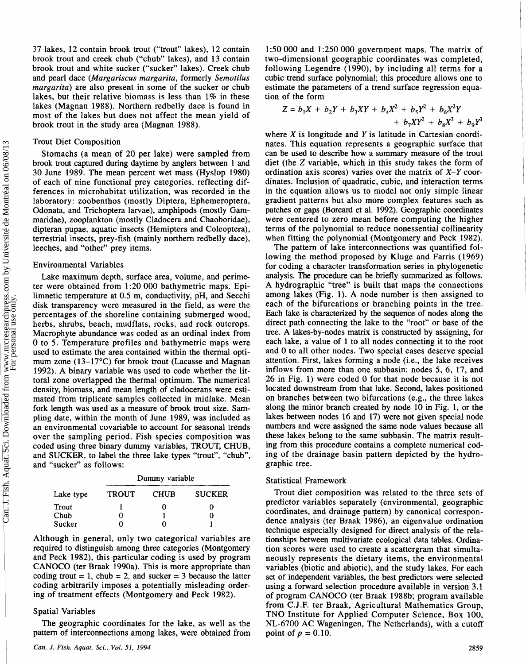37 lakes, 12 contain brook trout ("trout" lakes), 12 contain brook trout and creek chub ("chub" lakes), and 13 contain brook trout and white sucker ("sucker" lakes). Creek chub and pearl dace (Margariscus margarita, formerly *Semotilus* margarita) are also present in some of the sucker or chub lakes, but their relative biomass is less than 1% in these lakes (Magnan 1988). Northern redbelly dace is found in most of the lakes but does not affect the mean yield of brook trout in the study area (Magnan 1988).

#### Trout Diet Composition

Stomachs (a mean of 20 per lake) were sampled from brook trout captured during daytime by anglers between 1 and 30 June 1989. The mean percent wet mass (Hyslop 1980) of each of nine functional prey categories, reflecting differences in microhabitat utilization, was recorded in the laboratory: zoobenthos (mostly Diptera, Ephemeroptera, Odonata, and Trichoptera larvae), amphipods (mostly Gammaridae), zooplankton (mostly Cladocera and Chaoboridae), dipteran pupae, aquatic insects (Hemiptera and Coleoptera), terrestrial insects, prey-fish (mainly northern redbelly dace), leeches, and "other" prey items.

#### Environmental Variables

Lake maximum depth, surface area, volume, and perimeter were obtained from 1:20 000 bathymetric maps. Epilimnetic temperature at 0.5 m, conductivity, pH, and Secchi disk transparency were measured in the field, as were the percentages of the shoreline containing submerged wood, herbs, shrubs, beach, mudflats, rocks, and rock outcrops. Macrophyte abundance was coded as an ordinal index from 0 to 5. Temperature profiles and bathyrnetric maps were used to estimate the area contained within the thermal optimum zone (13-17°C) for brook trout (Lacasse and Magnan 1992). A binary variable was used to code whether the littoral zone overlapped the thermal optimum. The numerical density, biomass, and mean length of cladocerans were estimated from triplicate samples collected in midlake. Mean fork length was used as a measure of brook trout size. Sampling date, within the month of June 1989, was included as an environmental covariable to account for seasonal trends over the sampling period. Fish species composition was coded using three binary dummy variables, TROUT, CHUB, and SUCKER, to label the three lake types "trout", "chub", and "sucker" as follows:

**Dummy** variable

| <b>TROUT</b> | <b>CHUB</b> | <b>SUCKER</b> |
|--------------|-------------|---------------|
|              | Ω           |               |
| 0            |             |               |
| 0            |             |               |
|              |             |               |

Although in general, only two categorical variables are required to distinguish among three categories (Montgomery and Peck 1982), this particular coding is used by program CANOCO (ter Bra& 199Oa). This is more appropriate than coding trout  $= 1$ , chub  $= 2$ , and sucker  $= 3$  because the latter coding arbitrarily imposes a potentially misleading ordering of treatment effects (Montgomery and Peck 1982).

## Spatial Variables

The geographic coordinates for the lake, as well as the pattern of interconnections among lakes, were obtained from 1:50 000 and 1:250 008 government maps. The matrix of two-dimensional geographic coordinates was completed, following Legendre (1990), by including **a11** terms for a cubic trend surface polynomial; this procedure allows one to estimate the parameters of a trend surface regression equation of the form

$$
Z = b_1 X + b_2 Y + b_3 XY + b_4 X^2 + b_5 Y^2 + b_6 X^2 Y
$$
  
+ 
$$
b_7 XY^2 + b_8 X^3 + b_9 Y^3
$$

where  $X$  is longitude and  $Y$  is latitude in Cartesian coordinates. This equation represents a geographic surface that can be used to describe how a summary measure of the trout diet (the *Z* variable, which in this study takes the form of ordination axis scores) varies over the matrix of  $X-Y$  coordinates. Inclusion of quadratic, cubic, and interaction terms in the equation allows us to model not only simple linear gradient patterns but also more complex features such as patches or gaps (Borcard et al. 1992). Geographic coordinates were centered to zero mean before computing the higher terms of the polynomial to reduce nonessential collinearity when fitting the polynomial (Montgomery and Peck 1982).

The pattern of lake interconnections was quantified following the method proposed by Kluge and Farris (1969) for coding a character transformation series in phylogenetic analysis. The procedure can be briefly summarized as follows. A hydrographic "tree" is built that maps the connections among lakes (Fig. 1). A node number is then assigned to each of the bifurcations or branching points in the tree. Each lake is characterized by the sequence of nodes along the direct path connecting the lake to the "root" or base of the tree. A lakes-by-nodes matrix is constructed by assigning, for each lake, a value of 1 to all nodes connecting it to the root and 0 to all other nodes. Two special cases deserve special attention. First, lakes forming a node (i.e., the lake receives inflows from more than one subbasin: nodes 5, 6, **17,** and 26 in Fig. 1) were coded 0 for that node because it is not located downstream from that lake. Second, lakes positioned on branches between two bifurcations (e.g., the three lakes along the minor branch created by node 10 in Fig. 1, or the lakes between nodes 16 and 17) were not given special node numbers and were assigned the same node values because all these lakes belong to the same subbasin. The matrix resulting from this procedure contains a complete numerical coding of the drainage basin pattern depicted by the hydrographic tree.

## Statistical Framework

Trout diet composition was related to the three sets of predictor variables separately (environmental, geographic coordinates, and drainage pattern) by canonical correspondence analysis (ter Braak 1986), an eigenvalue ordination technique especially designed for direct analysis of the relationships between multivariate ecological data tables. Ordination scores were used to create a scattergram that simultaneously represents the dietary items, the environmental variables (biotic and abiotic), and the study lakes. For each set of independent variables, the best predictors were selected using a forward selection procedure available in version 3.1 of program CANOCO (ter Braak 1988b; program available from C.J.F. ter Braak, Agricultural Mathematics Group, TNO Institute for Applied Computer Science, Box 100, NL-6700 AC Wageningen, The Netherlands), with a cutoff point of  $p = 0.10$ .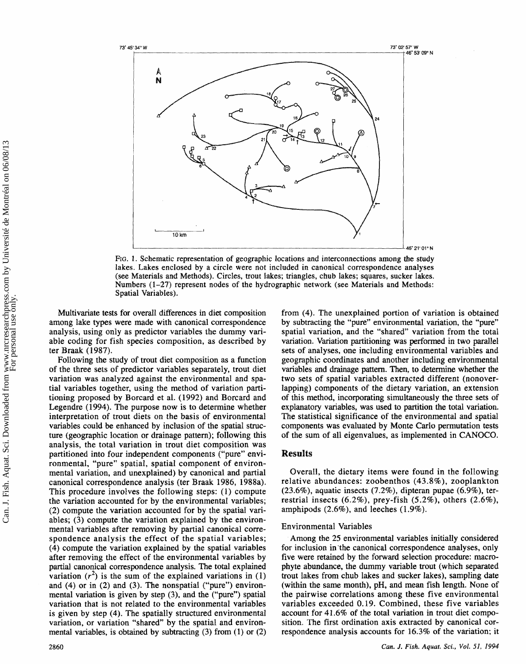

FIG. 1. Schematic representation of geographic locations and interconnections among the study lakes. Lakes enclosed by a circle were not included in canonical correspondence analyses (see Materials and Methods). Circles, trout lakes; triangles, chub lakes; squares, sucker lakes. Numbers **(1-27)** represent nodes of the hydrographic network (see Materials **and Methods:**  Spatial Variables).

Multivariate tests for overdl differences **in** diet composition among lake types were made with canonical correspondence analysis, using only as predictor variables the dummy variable coding for fish species composition, as described by ter Braak **(1987),** 

Following the study of trout diet composition as a function of the three sets of predictor variables separately, trout diet variation was analyzed against the environmental and spatial variables together, using the method of variation partitioning proposed by Borcard et al. (1992) and Borcard and Legendre **(1994).** The purpose **now** is to determine whether interpretation of trout diets on the basis of environmental variables could be enhanced by inclusion of the spatial stmctwe (geographic location or drainage pattern); following this analysis, the total variation in trout diet composition was partitioned into four independent components ("pure" environmental, "pure" spatial, spatial component of environmental variation, and unexplained) by canonical and partial canonical correspondence analysis (ter Braak 1986, 1988a). This procedure involves the following steps: (1) compute the variation accounted for by the environmental variables; (2) compute the variation accounted for by the spatial variables; (3) compute the variation explained by the environmental variables after removing by partial canonical correspondence analysis the effect of the spatial variables; (4) compute the variation explained by the spatial variables after removing the effect of the environmental variables by partial canonical correspondence analysis. The total explained variation  $(r^2)$  is the sum of the explained variations in (1) and  $(4)$  or in  $(2)$  and  $(3)$ . The nonspatial ("pure") environmental variation is given by step (3), and the ("pure") spatial variation that is not related to the environmental variables is given by step (4). The spatially structured environmental variation, or variation "shared" by the spatial and environmental variables, is obtained by subtracting (3) from (I) or (2) from (4). The unexplained portion of variation is obtained by subtracting the "pure" environmental variation, the "pure" spatial variation, and the "shared" variation from the total variation. Variation partitioning was performed in two parallel sets of analyses, one including environmental variables and geographic coordinates and another including environmental variables ad drainage pattern. Then, to determine whether the two sets of spatial variables extracted different (nonoverlapping) components of the dietary variation, an extension of this method, incorporating simultaneously the three sets of explanatory variables, was used to partition the total variation. The statistical significance of the environmental and spatial components was evaluated by Monte Carlo permutation tests of the sum of all eigenvalues, as implemented in **CANOCO.** 

## **Results**

Overall, the dietary items were found in the following relative abundances: zoobenthos (43.8%), zooplankton **(23.6%),** aquatic insects **(7.2%),** dipteran pupae (6.9%), terrestrial insects *(4.2%),* prey-fish (5.2%), others *(2.6%),*  amphipods **(2.6%),** and leeches **(1,9%).** 

#### Environmental Variables

Among the 25 environmental variables initially considered for inclusion in'the canonical correspondence analyses, only five were retained by the forward selection procedure: macrophyte abundance, the dummy variable trout (which separated trout lakes from chub lakes and sucker lakes), sampling date (within the same month), pH, and mean fish length. None of the pairwise correlations among these five environmental variables exceeded 0.19. Combined, these five variables account for 41.6% of the total variation in trout diet composition. The first ordination axis extracted by canonical correspondence analysis accounts for 16.3% of the variation; it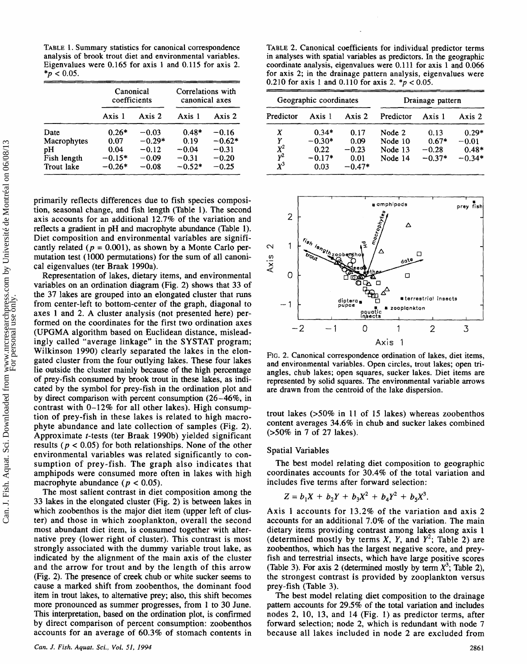**TABLE 1.** Summary statistics for canonical correspondence analysis of brook trout diet and environmental variables. Eigenvalues were **0.165** for axis **1** and **0.115** for axis **2.**   $*_{p}$   $< 0.05$ .

|             | Canonical<br>coefficients |          | Correlations with<br>canonical axes |          |
|-------------|---------------------------|----------|-------------------------------------|----------|
|             | Axis 1                    | Axis 2   | Axis 1                              | Axis 2   |
| Date        | $0.26*$                   | $-0.03$  | $0.48*$                             | $-0.16$  |
| Macrophytes | 0.07                      | $-0.29*$ | 0.19                                | $-0.62*$ |
| рH          | 0.04                      | $-0.12$  | $-0.04$                             | $-0.31$  |
| Fish length | $-0.15*$                  | $-0.09$  | $-0.31$                             | $-0.20$  |
| Trout lake  | $-0.26*$                  | $-0.08$  | $-0.52*$                            | $-0.25$  |

primarily reflects differences due to fish species composition, seasonal change, and fish length (Table 1). The second axis accounts for an additional 12.7% of the variation and reflects a gradient in pH and macrophyte abundance (Table 1). Diet composition and environmental variables are significantly related ( $p = 0.001$ ), as shown by a Monte Carlo permutation test **(1800** permutations) for the sum of all canonical eigenvalues (ter Braak 1990a).

Representation of lakes, dietary items, and environmental variables on an ordination diagram (Fig. 2) shows that 33 of the 37 lakes are grouped into *m* elongated cluster that runs from center-left to bottom-center of the graph, diagonal to axes 1 and 2. A cluster analysis (not presented here) performed on the coordinates for the first two ordination axes **(LTPGMA** algorithm based on Euclidean distance, misleadingly called "average linkage" in the SYSTAT program; Wilkinson 1990) clearly separated the lakes in the elongated cluster from the four outlying lakes. These four lakes lie outside the cluster mainly because of the high percentage of prey-fish consumed by brook trout in these lakes, as indicated by the symbol for prey-fish in the ordination plot and by direct comparison with percent consumption  $(26 - 46\%)$ , in contrast with 0-12% for all other lakes). High consumption of prey-fish in these lakes is related to high macrophyte abundance and late collection of samples (Fig. 2). Approximate *t*-tests (ter Braak 1990b) yielded significant results ( $p < 0.05$ ) for both relationships. None of the other environmental variables was related significantly to consumption of prey-fish. The graph also indicates that amphipods were consumed more often in lakes with high macrophyte abundance ( $p < 0.05$ ).

The most salient contrast in diet composition among the 33 lakes in the elongated cluster (Fig. 2) is between lakes in which zoobenthos is the major diet item (upper left of cluster) and those in which zooplankton, overall the second most abundant diet item, is consumed together with alternative prey (lower right of cluster). This contrast is most strongly associated with the dummy variable trout lake, as indicated by the alignment of the main axis of the cluster and the arrow for trout and by the length of this arrow (Fig. 2). The presence of creek chub or white sucker seems to cause a marked shift from zoobenthos, the dominant food item in trout lakes, to alternative prey; also, this shift becomes more pronounced as summer progresses, from **1** to 30 June. This interpretation, based on the ordination plot, is confirmed by direct comparison of percent consumption: zoobenthos accounts for an average of 60.3% of stomach contents in

**TABLE 2.** Canonical coefficients for individual predictor terms in analyses with spatial variables as predictors. In the geographic coordinate analysis, eigenvalues were 0.111 for axis 1 and 0.066 for axis **2;** in the drainage pattern analysis, eigenvalues were **0.210** for axis **1** and **0.110** for axis **2.** *\*p* < **0.05.** 

| Geographic coordinates                     |                                                 | Drainage pattern                            |                                         |                                        |                                           |
|--------------------------------------------|-------------------------------------------------|---------------------------------------------|-----------------------------------------|----------------------------------------|-------------------------------------------|
| Predictor                                  | Axis 1                                          | Axis 2                                      | Predictor                               | Axis 1                                 | Axis $2$                                  |
| X<br>Y<br>$X^2$<br>$Y^2$<br>$\mathbf{v}^3$ | $0.34*$<br>$-0.30*$<br>0.22<br>$-0.17*$<br>0.03 | 0.17<br>0.09<br>$-0.23$<br>0.01<br>$-0.47*$ | Node 2<br>Node 10<br>Node 13<br>Node 14 | 0.13<br>$0.67*$<br>$-0.28$<br>$-0.37*$ | $0.29*$<br>$-0.01$<br>$0.48*$<br>$-0.34*$ |



FIG. 2. Canonical correspondence ordination of lakes, diet items, and environmental variables. Open circles, trout lakes; open triangles, chub lakes; open squares, sucker lakes. Diet items are represented by solid squares. The environmental variable arrows are drawn from the centroid of the lake dispersion.

trout lakes **(~50%** in 11 of **15** lakes) whereas zoobenthos content averages 34.6% in chub and sucker lakes combined (>SO% in 7 of 27 lakes).

#### Spatial Variables

The best model relating diet composition to geographic coordinates accounts for 30.4% of the total variation and includes five terms after forward selection:

$$
Z = b_1 X + b_2 Y + b_3 X^2 + b_4 Y^2 + b_5 X^3
$$

Axis 1 accounts for 13.2% of the variation and axis 2 accounts for an additional 7.0% of the variation. The main dietary items providing contrast among lakes along axis 1 (determined mostly by terms X, Y, and  $Y^2$ ; Table 2) are zoobenthos, which has the largest negative score, and preyfish and terrestrial insects, which have large positive scores (Table 3). For axis 2 (determined mostly by term  $X^3$ ; Table 2), the strongest contrast is provided by zooplankton versus prey-fish (Table 3).

The best model relating diet composition to the drainage pattern accounts for 29.5% of the total variation and includes nodes 2, 10, 13, and 14 (Fig. 1) as predictor terns, after forward selection; node 2, which is redundant with node **7**  because all lakes included in node 2 are excluded from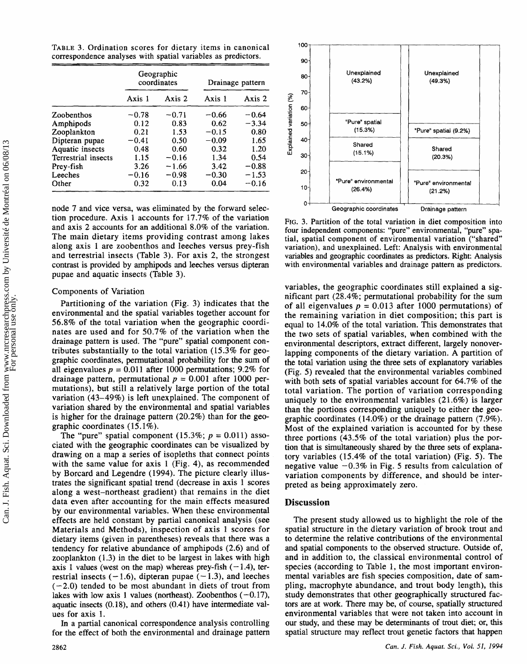TABLE 3. Ordination scores for dietary items in canonical correspondence analyses with spatial variables as predictors.

|                     | Geographic<br>coordinates |         | Drainage pattern |         |
|---------------------|---------------------------|---------|------------------|---------|
|                     | Axis 1                    | Axis 2  | Axis 1           | Axis 2  |
| Zoobenthos          | $-0.78$                   | $-0.71$ | -0.66            | $-0.64$ |
| Amphipods           | 0.12                      | 0.83    | 0.62             | $-3.34$ |
| Zooplankton         | 0.21                      | 1.53    | $-0.15$          | 0.80    |
| Dipteran pupae      | $-0.41$                   | 0.50    | $-0.09$          | 1.65    |
| Aquatic insects     | 0.48                      | 0.60    | 0.32             | 1.20    |
| Terrestrial insects | 1.15                      | $-0.16$ | 1.34             | 0.54    |
| Prey-fish           | 3.26                      | $-1.66$ | 3.42             | $-0.88$ |
| Leeches             | $-0.16$                   | $-0.98$ | $-0.30$          | $-1.53$ |
| Other               | 0.32                      | 0.13    | 0.04             | $-0.16$ |

node 7 and vice versa, was eliminated by the forward selection procedure. Axis **1** accounts for 17.7% of the variation and axis 2 accounts for an additional **8.0%** of the variation. The main dietary items providing contrast among lakes along axis 1 are zoobenthos and leeches versus prey-fish and terrestrial insects (Table 3). For axis 2, the strongest contrast is provided by amphipods **md** leeches versus dipteran pupae and aquatic insects (Table 3).

## Components of Variation

Partitioning of the variation (Fig. 3) indicates that the environmental and the spatial variables together account for 56.8% of the total variation when the geographic coordinates are used and for 50.7% of the variation when the drainage pattern is used. The "pure" spatial component contributes substantially to the total variation (15.3% for geographic coordinates, permutational probability for the sum of all eigenvalues  $p = 0.011$  after 1000 permutations; 9.2% for drainage pattern, permutational  $p = 0.001$  after 1000 permutations), but still a relatively large portion of the total variation (43-49%) is left unexplained. The component of variation shared by the environmental and spatial variables is higher for the drainage pattern (20.2%) than for the geographic coordinates  $(15.1\%)$ .

The "pure" spatial component  $(15.3\%; p = 0.011)$  associated with the geographic coordinates can be visualized by drawing on a map a series of isopleths that connect points with the same value for axis  $1$  (Fig. 4), as recommended by Borcard and Legendre (1994). The picture clearly illustrates the significant spatial trend (decrease in axis **1** scores along a west-northeast gradient) that remains in the diet data even after accounting for the main effects measured by our environmental variables. When these environmental effects are held constant by partial canonical analysis (see Materials and Methods), inspection of axis 1 scores for dietary items (given in parentheses) reveals that there was a tendency for relative abundance of amphipods (2.6) and of zooplankton (1.3) in the diet to be largest in lakes with high axis 1 values (west on the map) whereas prey-fish  $(-1.4)$ , terrestrial insects  $(-1.6)$ , dipteran pupae  $(-1.3)$ , and leeches  $(-2.0)$  tended to be most abundant in diets of trout from lakes with low axis 1 values (northeast). Zoobenthos  $(-0.17)$ , aquatic insects (0.18), and others (0.41) have intermediate values for axis **1.** 

In a partial canonical correspondence analysis controlling for the effect of both the environmental and drainage pattern



PIG. 3. Partition of the total variation in diet composition into four independent components: "pure" environmental, "pure" spatial, spatial component of environmental variation ("shared" variation), and unexplained. **Left:** Anaiysis with environmental variables and geographic coordinates as predictors. Right: Analysis with environmental variables and drainage pattern **as** predictors.

variables, the geographic coordinates still explained a significant part (28.4%; permutational probability for the sum of all eigenvalues  $p = 0.013$  after 1000 permutations) of the remaining variation in diet composition; this part is equd to **14.0%** of the total variation. This demonstrates that the two sets of spatial variables, when combined with the environmental descriptors, extract different, largely nonoverlapping components of the dietary variation. A partition of the total variation using the thee sets of explanatory variables (Fig. 5) revealed that the environmental variables combined with both sets of spatial variables account for 64.7% of the total variation. The portion of variation corresponding uniquely to the environmental variables (21.6%) is larger than the portions corresponding uniquely to either the geographic coordinates (14.0%) or the drainage pattern (7.9%). Most of the explained variation is accounted for by these three portions (43.5% of the total variation) plus the portion that is simultaneously shared by the three sets of explanatory variables (15.4% of the total variation) (Fig. **5).** The negative value -0.3% in Fig. **5** results from calculation of variation components by difference, and should be interpreted as being approximately zero.

## **Discussion**

The present study allowed us to highlight the role of the spatial structure in the dietary variation of brook trout and to determine the relative contributions of the environmental and spatial components to the observed structure. Outside of, and in addition to, the classical environmental control of species (according to Table 1, the most important environmental variables are fish species composition, date of sampling, macrophyte abundance, and trout body length), this study demonstrates that other geographically structured faetors are at work. There may be, of course, spatially structured environmental variables that were not taken into account in our study, and these may be determinants of trout diet; or, this spatial structure may reflect trout genetic factors that happen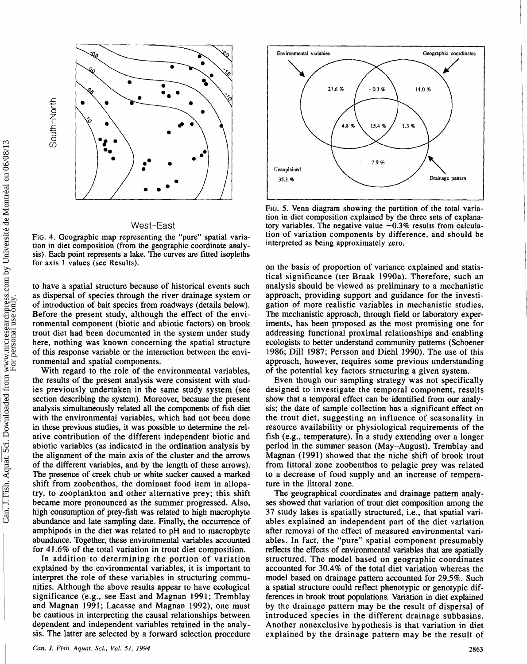

#### West-East

PIG. 4. Geographic map representing the "pure" spatial variation in diet composition (from the geographic coordinate analysis). Each point represents a lake. The curves **are** fitted isopleths for axis 1 values (see Results).

to have a spatial structure because of historical events such as dispersal of species through the river drainage system or of introduction of bait species from roadways (details below). Before the present study, although the effect of the environmental component (biotic and abiotic factors) on brook trout diet had been documented in the system under study here, nothing was known concerning the spatial structure of this response variable or the interaction between the environmental and spatial components.

With regard to the role of the environmental variables, the results of the present analysis were consistent with studies previously undertaken in the same study system (see section describing the system). Moreover, because the present analysis simultaneously related all the components of fish diet with the environmental variables, which had not been done in these previous studies, it was possible to determine the relative contribution of the different independent biotic and abiotic variables (as indicated in the ordination analysis by the alignment of the main axis of the cluster and the arrows of the different variables, and by the length of these arrows). The presence of creek chub or white sucker caused a marked shift from zoobenthos, the dominant food item in allopatry, to zooplankton and other alternative prey; this shift became more pronounced as the summer progressed. Also, high consumption of prey-fish was related to high macrophyte abundance and late sampling date. Finally, the occurrence of amphipods in the diet was related to pH and to macrophyte abundance. Together, these environmental variables accounted for **41.6%** of the total variation in trout diet composition.

In addition to determining the portion of variation explained by the environmental variables, it is important to interpret the role of these variables in structuring communities. Although the above results appear to have ecological significance (e.g., see East and Magnan 1991; Tremblay and Magnan 1991; Lacasse and Magnan 1992), one must be cautious in interpreting the causal relationships between dependent and independent variables retained in the analysis. The latter are selected by a forward selection procedure



**Fro.** 5. Venn diagram showing the partition of the total variation in diet composition explained by the three sets of explanatory variables. The negative value  $-0.3\%$  results from calculation of variation components by difference, and should be interpreted as being approximately zero.

on the basis of proportion of variance explained and statistical significance (ter Braak 1990a). Therefore, such an analysis should be viewed as preliminary to a mechanistic approach, providing support and guidance for the investigation of more realistic variables in mechanistic studies. The mechanistic approach, through field or laboratory experiments, has been proposed as the most promising one for addressing functional proximal relationships and enabling ecologists to better understand community patterns (Schoener 1986; Bill 1987; Persson and Diehl 1990). The use of this approach, however, requires some previous understanding of the potential key factors structuring a given system.

Even though our sampling strategy was not specifically designed to investigate the temporal component, results show that a temporal effect can be identified from our analysis; the date of sample collection has a significant effect on the trout diet, suggesting an influence of seasonality in resource availability or physiological requirements of the fish (e.g., temperature). In a study extending over a longer period in the summer season (May-August), Tremblay and Magnan (1991) showed that the niche shift of brook trout from littoral zone zoobenthos to pelagic prey was related to a decrease of food supply and an increase of temperature in the littoral zone.

The geographical coordinates and drainage pattern analyses showed that variation of trout diet composition among the 37 study lakes is spatially structured, i.e., that spatial variables explained an independent part of the diet variation after removal of the effect of measured environmental variables. In fact, the "pure" spatial component presumably reflects the effects of environmental variables that **are** spatially structured. The model based on geographic coordinates accounted for 30.4% of the total diet variation whereas the model based on drainage pattern accounted for 29.5%. Such a spatial structure could reflect phenotypic or genotypic differences in brook trout populations. Variation in diet explained by the drainage pattern may be the result of dispersal of introduced species in the different drainage subbasins. Another nonexclusive hypothesis is that variation in diet explained by the drainage pattern may be the result of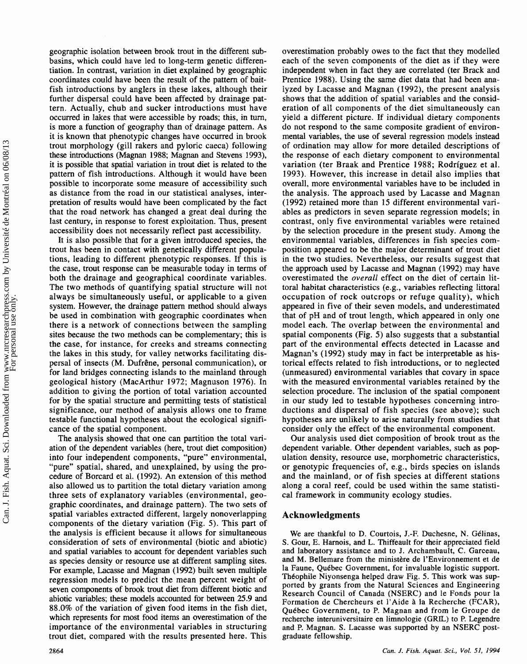geographic isolation between brook trout in the different subbasins, which could have led to long-term genetic differentiation. In contrast, variation in diet explained by geographic coordinates could have been the result of the pattern of baitfish introductions by anglers in these lakes, although their further dispersal could have been affected by drainage pattern. Actually, chub and sucker introductions must have occumed in lakes that were accessible by roads; this, in turn, is more a function of geography than of drainage pattern. As it is known that phenotypic changes have occurred in brook trout morphology (gill rakers and pyloric caeca) following these introductions (Magnan 1988; Magnan and Stevens 1993), it is possible that spatial variation in trout diet is related to the pattern of fish introductions. Although it would have been possible to incorporate some measure of accessibility such as distance from the road in our statistical analyses, interpretation of results would have been complicated by the fact that the road network has changed a great deal during the last century, in response to forest exploitation. Thus, present accessibility does not necessarily reflect past accessibility.

It is also possible that for a given introduced species, the trout has been in contact with genetically different populations, leading to different phenotypic responses. If this is the case, trout response can be measurable today in terns of both the drainage and geographical coordinate variables, The two methods of quantifying spatial structure will not always be simultaneously useful, or applicable to a given system. However, the drainage pattern method should always be used in combination with geographic coordinates when there is a network of connections between the sampling sites because the two methods can be complementary; this is the case, for instance, for creeks and streams connecting the lakes in this study, for valley networks facilitating dispersal of insects (M. Dufrêne, personal communication), or for land bridges connecting islands to the mainland through geological history (MacArthur 1972; Magnuson 1976). In addition to giving the portion of total variation accounted for by the spatial structure and permitting tests of statistical significance, our method of analysis allows one to frame testable functional hypotheses about the ecological significance of the spatial component.

The analysis showed that one can partition the total variation of the dependent variables (here, trout diet composition) into four independent components, "pure" environmental, "pure" spatial, shared, and unexplained, by using the procedure of Borcard et al. (1992). An extension of this method also allowed us to partition the total dietary variation among three sets of explanatory variables (environmental, geographic coordinates, and drainage pattern). The two sets of spatial variables extracted different, largely nonoverlapping components of the dietary variation (Fig. 5). This part of the analysis is efficient because it allows for simultaneous consideration of sets of environmental (biotic and abiotic) and spatial variables to account for dependent variables such as species density or resource use at different sampling sites. For example, Lacasse and Magnan (1992) built seven multiple regression models to predict the mean percent weight of seven components of brook trout diet from different biotic and abiotic variables; these models accounted for between 25.9 and **88.0%** sf the variation of given food items in the fish diet, which represents for most food items an overestimation of the importance of the environmental variables in structuring trout diet, compared with the results presented here. This overestimation probably owes to the fact that they modelled each of the seven components of the diet as if they were independent when in fact they are correlated (ter Brack and Prentice 1988). Using the same diet data that had been analyzed by Lacasse and Magnan (1992), the present analysis shows that the addition of spatial variables and the consideration of all components of the diet simultaneously can yield a different picture. If individual dietary components do not respond to the same composite gradient of environmental variables, the use of several regression models instead of ordination may allow for more detailed descriptions of the response of each dietary component to environmental variation (ter Braak and Prentice 1988; Rodriguez et al. 1993). However, this increase in detail also implies that overall, more environmental variables have to be included in the analysis. The approach used by Lacasse and Magnan (1992) retained more than 15 different environmental variables as predictors in seven separate regression models; in contrast, only five environmental variables were retained by the selection procedure in the present study. Among the environmental variables, differences in fish species composition appeared to be the major determinant of trout diet in the two studies. Nevertheless, our results suggest that the approach used by Lacasse and Magnan (1992) may have overestimated the *overall* effect on the diet of certain littoral habitat characteristics (e.g., variables reflecting littoral occupation of rock outcrops or refuge quality), which appeared in five of their seven models, and underestimated that of **pH** and of trout length, which appeared in only one model each. The overlap between the environmental and spatial components (Fig. **5)** also suggests that a substantial part of the environmental effects detected in Lacasse and Magnan's **(1992)** study may in fact be interpretable as historical effects related to fish introductions, or to neglected (unmeasured) environmental variables that covary in space with the measured environmental variables retained by the selection procedure. The inclusion of the spatial component in our study led to testable hypotheses concerning introductions and dispersal of fish species (see above); such hypotheses are unlikely to arise naturally from studies that consider only the effect of the environmental component.

Our analysis used diet composition of brook trout as the dependent variable. Other dependent variables, such as population density, resource use, morphometric characteristics, or genotypic frequencies of, e.g., birds species on islands and the mainland, or of fish species at different stations along a coral reef, could be used within the same statistical framework in community ecology studies.

## **Acknowledgments**

We are thankful to D. Courtois, J.-F. Duchesne, N. Gélinas, S. Gour, E. Harnois, and **L.** Thiffeault for their appreciated field and laboratory assistance and to **9.** Archambault, C. Garceau, and M. Bellemare from the ministère de l'Environnement et de la Faune, Québec Government, for invaluable logistic support. Théophile Niyonsenga helped draw Fig. 5. This work was supported by grants from the Natural Sciences and Engineering Research Councij of Canada (NSERC) and le Fonds pour la Formation de Chercheurs et l'Aide à la Recherche (FCAR), Quebec Government, to **P\*** Magnan and from **Ie** Grolmpe de recherche interuniversitaire en lirnnslogie **(GRE)** to **P.** Legendre and P. Magnan. S. Lacasse was supported by an NSERC postgraduate fellowship.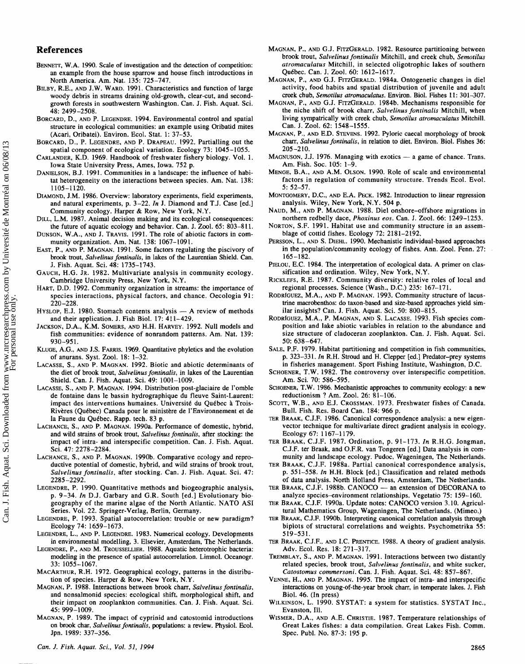## **References**

- **BENNETT,** W.A. 1990. Scale of investigation and the detection of competition: an example from the house sparrow and house finch introductions in North America. Am. Nat. 135: 725-747.
- BILBY, **R.E.,** AND J.W. WARD. 1991. Characteristics and function of large woody debris in streams draining old-growth, clear-cut, and secondgrowth forests in southwestern Washington. Can. J. Fish. Aquat. Sci. 48: 2499-2508.
- BORCARD, D., AND P. LEGENDRE. 1994. Environmental control and spatial structure in ecological communities: an example using Oribatid mites (Acari, Oribatei). Environ. Ecol. Stat. 1: 37-53.
- BOWCARD, **D., P.** LEGENDRE, AND P. DRAPEAU. 1992. Partialling out the spatial component of ecological variation. Ecology 73: 1045-1055.
- CARLANDER, K.D. 1969. Handbook of freshwater fishery biology. Vol. 1. Iowa State University Press, Ames, Iowa. 752 p.
- DANIELSON, B.J. 1991. Communities in a landscape: the influence of habitat heterogeneity on the interactions between species. Am. Nat. 138: 1105-1 120.
- DIAMOND, J.M. 1986. Overview: laboratory experiments, field experiments, and natural experiments. p. 3-22. *In* J. Diamond and T.J. Case [ed.] Community ecology. Harper & Row, New York, N.Y.
- DILL, L.M. 1987. Animal decision making and its ecological consequences: the future of aquatic ecology and behavior. Can. J. 2001. 65: 803-81 1.
- DUNSON, W.A., AND **J.** TRAVIS. 1991. The role of abiotic factors in community organization. Am. Nat. 138: 1067-109 1.
- EAST, P., AND P. MAGNAN. 1991. Some factors regulating the piscivory of brook trout, *Salvelinus fontinalis*, in lakes of the Laurentian Shield. Can. J. Fish. Aquat. Sci. 48: 1735-1743.
- GAUCM, M.G. JR. 1982. Multivariate analysis in community ecology. Cambridge University Press, New York, N.Y.
- HART, D.B. 1992. Community organization in streams: the importance of species interactions, physical factors, and chance. Oecologia 91: 220-228.
- HYSLOP, E.J. 1980. Stomach contents analysis A review of methods and their application. J. Fish Biol. 17: 41 1-429.
- JACKSON, D.A., K.M. SOMERS, AND **H.H,** HARVEY. 1992. Null models and fish communities: evidence of nonrandom patterns. Am, Nat. 139: 930-951.
- KLUGE, A.G., AND J.S. FARRIS. 1969. Quantitative phyletics and the evolution of anurans. Syst. 2001. 18: 1-32.
- LACASSE, S., AND P. MAGNAN. 1992. Biotic and abiotic determinants of the diet of brook trout, *Salvelinus fontinalis*, in lakes of the Laurentian Shield. Can. J. Fish. Aquat. Sci. 49: 1001-1009.
- LACASSE, S., AND **P.** MAGNAN. 1994. Distribution post-glaciaire de l'omble de fontaine dans le bassin hydrographique du fleuve Saint-Laurent: impact des interventions humaines. Université du Québec à Trois-Rivères (Québec) Canada pour le ministère de l'Environnement et de la Faune du Québec. Rapp. tech. 83 p.
- LACHANCE, S., AND P. MAGNAN. 1990a. Performance of domestic, hybrid, and wild strains of brook trout, *Sdvelinus fontinalis,* after stocking: the impact of intra- and interspecific competition. Can. J. Fish. Aquat. Sci. 47: 2278-2284.
- LACHANCE, S.AND **P.** MAGNAN. 1990b. Comparative ecology and reproductive potential of domestic, hybrid, and wiId strains of brook trout, *Salvelinus fontinalis,* after stocking. Can. J. Fish. Aquat. Sci. 47: 2285 -2292.
- LEGENDRE, P.1990. Quantitative methods and biogeographic analysis, p. 9-34. *In* D.J. Garbary and G.R. South [ed.] Evolutionary biogeography of the marine algae of the North Atlantic. NATO AS1 Series. Vol. 22. Springer-Verlag, Berlin, Germany.
- LEGENDRE, P. 1993. Spatial autocorrelation: trouble or new paradigm? Ecology 74: 1659-1673.
- LEGENDRE, L., AND P. LEGENDRE. 1983. Numerical ecology. Developments in environmental modelling, 3. Elsevier, Amsterdam, The Netherlamds.
- LEGENDRE, P., AND M. TROUSSELLIER. 1988. Aquatic heterotrophic bacteria: modeling in the presence of spatial autocorrelation. Limnol. Oceanogr. **33:** 1055-1067.
- MACARTHUR, R.H. 1972. Geographical ecology, patterns in the distribution of species. Harper & Row, New York, N.Y.
- MAGNAN, P. 1988. Interactions between brook charr, *Salvelinus fontinalis*, and nonsalmonid species: ecological shift, morphological shift, and their impact on zooplankton communities. Can. J. Fish. Aquat. Sci. 45: 999-1009.
- MAGNAN, P.1989. The impact of cyprinid and catostomid introductions on brook char, *Salvelinus fontinalis*, populations: a review. Physiol. Ecol. Jpn. 1989: 337-356.
- MAGNAN, P., AND G.J. FITZGERALD. 1982. Resource partitioning between brook trout, *Sealvelinus fontindis* Mitchill, and creek chub, *Sernotikus atromculatus* Mitchill, in selected oligotrophic lakes of southern Québec. Can. J. Zool. 60: 1612-1617.
- MAGNAN, P., AND G.J. FITZGERALD. 1984a. Ontogenetic changes in diel activity, food habits and spatial distribution of juvenile and adult creek chub, *Semotilus atromaculatus*. Environ. Biol. Fishes 11: 301-307.
- MAGNAN, **P.,** AND **G.J.** FITZGERALD. 1984b. Mechanisms responsible for the niche shift of brook charr, *Salvelinus fontinalis* Mitchill, when living sympatrically with creek chub, *Semotilus atromaculatus* Mitchill. Can. J. Zool. 62: 1548-1555.
- MAGNAN, P., AND **E.D.** STEVENS. 1992. Pyloric caecal morphology of brook charr, *Salvelinus fontinalis*, in relation to diet. Environ. Biol. Fishes 36: 205 -2 10.
- MAGNUSON, J.J. 1976. Managing with exotics a game of chance. Trans. Am. Fish, Soc. 105: 1-9.
- MENGE, B.A., AND A.M. OLSON. 1990. Role of scale and environmental factors in regulation of community structure. Trends Ecol. Evol. **5:** 52-57.
- MONTGOMERY, D.C., AND E.A. PECK. 1982. Introduction to linear regression analysis. Wiley, New York, N.Y. 504 p.
- NAUD, M., AND P. MAGNAN. 1988, Die1 onshore-offshore migrations in northern redbelly dace, *Phoxipsus eos.* Can. J. Zool. 66: 1249-1253.
- NORTON, S.F. 1991. Habitat use and community structure in an assemblage of cottid fishes. Ecology 72: 2181-2192.
- PERSSON, L., AND S. DIEHL. 1990. Mechanistic individual-based approaches in the population/community ecology of fishes. Ann. Zool. Fenn. 27: 165-182.
- PIELOU, E.C. 1984. The interpretation of ecological data. A primer on classification and ordination. Wiley, New York, N.Y.
- RICKLEFS, R.E. 1987. Community diversity: relative roles of local and regional processes. Science (Wash., D.C.) 235: 167-171.
- RODRÍGUEZ, M.A., AND P. MAGNAN. 1993. Community structure of lacustrine macrobenthos: do taxon-based and size-based approaches yield similar insights? Can. J. Fish. Aquat. Sci. 50: 800-815.
- RODRIGUEZ, M.A., P. MAGNAN, AND S. LACASSE. 1993. Fish species composition and lake abiotic variables in relation to the abundance and size structure of cladoceran zooplankton. Can. J. Fish. Aquat. Sci. 50: 638-647.
- SALE, P.F. 1979. Habitat partitioning and competition in fish communities, p. 323-331. *In* R.H. Stroud and H. Clepper [ed.] Predator-prey systems in fisheries management. Sport Fishing Institute, Washington, D.C.
- SCHOENER, T.W. 1982. The controversy over interspecific competition. Am. Sci. 70: 586-595.
- SCHOENER, T.W. 1986. Mechanistic approaches to community ecology: a new reductionism ? Am. 2001. 26: 81-106.
- SCOTT, W.B., AND E.J. CROSSMAN. 1973. Freshwater fishes of Canada. Bull. Fish. Wes. Board Can. 184: 966 p.
- TER BRAAK, C.J.F. 1986. Canonical correspondence analysis: a new eigenvector technique for multivariate direct gradient analysis in ecology. Ecology 67: 1 167-1 179.
- TER BRAAK, C.J.F. 1987. Ordination, **p.** 91-173. *In* R.H.G. Jongman, C.J.F. ter Braak, and O.F.R. van Tongeren [ed.] Data analysis in community and landscape ecology. Pudoc, Wageningen, The Netherlands.
- TER BRAAK, C.J.F. 1988a. Partial canonical correspondence analysis, p. 551-558. In H.H. Block [ed.] Classification and related methods of data analysis. North Holland Press, Amsterdam, The Netherlands.
- TER BRAAK, C.J.F. 1988b. CANOCO an extension of DECORANA to analyze species-environment relationships. Vegetatio 75: 159-160.
- TER BRAAK, C.J.F. 1990a. Update notes: CANOCO version 3-10. Agricultural Mathematics Group, Wageningen, The Netherlands. (Mimeo.)
- TER BRAAK, C.J.F. 1990b. Interpreting canonical correlation analysis through biplots of structural correlations and weights. Bsychometrika 55: 519-531.
- TER BRAAK, C.J.F., AND I.C. PRENTICE. 1988. A theory of gradient analysis. Adv. Bcol. Res. 18: 271-317.
- TREMBLAY, S., AND P. MAGNAN. 1991. Interactions between two distantly related species, brook trout, Salvelinus fontinalis, and white sucker, Catostomus commersoni. Can. J. Fish. Aquat. Sci. 48: 857-867.
- VENNE, H., AND P. MAGNAN. 1995. The impact of intra- and interspecific interactions on young-of-the-year brook charr, in temperate lakes. J. Fish Biol. 46. (In press)
- WILKINSON, L. 1990. SYSTAT: a system for statistics. SYSTAT Inc., Evanston, 111.
- WISMER, D.A., AND A.E. CHRISTIE. 1987. Temperature relationships of Great Lakes fishes: a data compilation. Great Lakes Fish. Comm. Spec. Publ. No. 87-3: 195 p.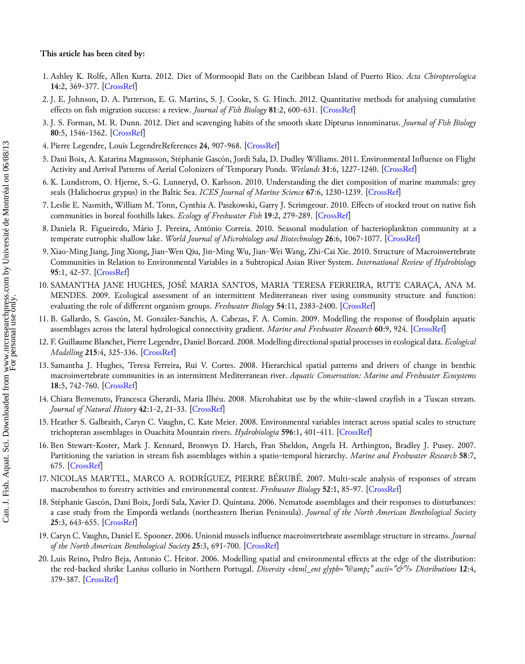## **This article has been cited by:**

- 1. Ashley K. Rolfe, Allen Kurta. 2012. Diet of Mormoopid Bats on the Caribbean Island of Puerto Rico. *Acta Chiropterologica* **14**:2, 369-377. [[CrossRef\]](http://dx.doi.org/10.3161/150811012X661684)
- 2. J. E. Johnson, D. A. Patterson, E. G. Martins, S. J. Cooke, S. G. Hinch. 2012. Quantitative methods for analysing cumulative effects on fish migration success: a review. *Journal of Fish Biology* **81**:2, 600-631. [[CrossRef\]](http://dx.doi.org/10.1111/j.1095-8649.2012.03369.x)
- 3. J. S. Forman, M. R. Dunn. 2012. Diet and scavenging habits of the smooth skate Dipturus innominatus. *Journal of Fish Biology* **80**:5, 1546-1562. [[CrossRef\]](http://dx.doi.org/10.1111/j.1095-8649.2012.03255.x)
- 4. Pierre Legendre, Louis LegendreReferences **24**, 907-968. [\[CrossRef](http://dx.doi.org/10.1016/B978-0-444-53868-0.50018-6)]
- 5.Dani Boix, A. Katarina Magnusson, Stéphanie Gascón, Jordi Sala, D. Dudley Williams. 2011. Environmental Influence on Flight Activity and Arrival Patterns of Aerial Colonizers of Temporary Ponds. *Wetlands* **31**:6, 1227-1240. [[CrossRef\]](http://dx.doi.org/10.1007/s13157-011-0234-z)
- 6. K. Lundstrom, O. Hjerne, S.-G. Lunneryd, O. Karlsson. 2010. Understanding the diet composition of marine mammals: grey seals (Halichoerus grypus) in the Baltic Sea. *ICES Journal of Marine Science* **67**:6, 1230-1239. [\[CrossRef](http://dx.doi.org/10.1093/icesjms/fsq022)]
- 7. Leslie E. Nasmith, William M. Tonn, Cynthia A. Paszkowski, Garry J. Scrimgeour. 2010. Effects of stocked trout on native fish communities in boreal foothills lakes. *Ecology of Freshwater Fish* **19**:2, 279-289. [[CrossRef\]](http://dx.doi.org/10.1111/j.1600-0633.2010.00412.x)
- 8.Daniela R. Figueiredo, Mário J. Pereira, António Correia. 2010. Seasonal modulation of bacterioplankton community at a temperate eutrophic shallow lake. *World Journal of Microbiology and Biotechnology* **26**:6, 1067-1077. [\[CrossRef](http://dx.doi.org/10.1007/s11274-009-0272-3)]
- 9. Xiao-Ming Jiang, Jing Xiong, Jian-Wen Qiu, Jin-Ming Wu, Jian-Wei Wang, Zhi-Cai Xie. 2010. Structure of Macroinvertebrate Communities in Relation to Environmental Variables in a Subtropical Asian River System. *International Review of Hydrobiology* **95**:1, 42-57. [\[CrossRef](http://dx.doi.org/10.1002/iroh.200811131)]
- 10. SAMANTHA JANE HUGHES, JOSÉ MARIA SANTOS, MARIA TERESA FERREIRA, RUTE CARAÇA, ANA M. MENDES. 2009. Ecological assessment of an intermittent Mediterranean river using community structure and function: evaluating the role of different organism groups. *Freshwater Biology* **54**:11, 2383-2400. [\[CrossRef](http://dx.doi.org/10.1111/j.1365-2427.2009.02253.x)]
- 11. B. Gallardo, S. Gascón, M. González-Sanchís, A. Cabezas, F. A. Comín. 2009. Modelling the response of floodplain aquatic assemblages across the lateral hydrological connectivity gradient. *Marine and Freshwater Research* **60**:9, 924. [[CrossRef\]](http://dx.doi.org/10.1071/MF08277)
- 12. F. Guillaume Blanchet, Pierre Legendre, Daniel Borcard. 2008. Modelling directional spatial processes in ecological data. *Ecological Modelling* **215**:4, 325-336. [[CrossRef\]](http://dx.doi.org/10.1016/j.ecolmodel.2008.04.001)
- 13. Samantha J. Hughes, Teresa Ferreira, Rui V. Cortes. 2008. Hierarchical spatial patterns and drivers of change in benthic macroinvertebrate communities in an intermittent Mediterranean river. *Aquatic Conservation: Marine and Freshwater Ecosystems* **18**:5, 742-760. [[CrossRef\]](http://dx.doi.org/10.1002/aqc.866)
- 14. Chiara Benvenuto, Francesca Gherardi, Maria Ilhéu. 2008. Microhabitat use by the white-clawed crayfish in a Tuscan stream. *Journal of Natural History* **42**:1-2, 21-33. [[CrossRef\]](http://dx.doi.org/10.1080/00222930701799090)
- 15. Heather S. Galbraith, Caryn C. Vaughn, C. Kate Meier. 2008. Environmental variables interact across spatial scales to structure trichopteran assemblages in Ouachita Mountain rivers. *Hydrobiologia* **596**:1, 401-411. [[CrossRef\]](http://dx.doi.org/10.1007/s10750-007-9124-z)
- 16. Ben Stewart-Koster, Mark J. Kennard, Bronwyn D. Harch, Fran Sheldon, Angela H. Arthington, Bradley J. Pusey. 2007. Partitioning the variation in stream fish assemblages within a spatio-temporal hierarchy. *Marine and Freshwater Research* **58**:7, 675. [\[CrossRef](http://dx.doi.org/10.1071/MF06183)]
- 17. NICOLAS MARTEL, MARCO A. RODRÍGUEZ, PIERRE BÉRUBÉ. 2007. Multi-scale analysis of responses of stream macrobenthos to forestry activities and environmental context. *Freshwater Biology* **52**:1, 85-97. [[CrossRef\]](http://dx.doi.org/10.1111/j.1365-2427.2006.01674.x)
- 18. Stéphanie Gascón, Dani Boix, Jordi Sala, Xavier D. Quintana. 2006. Nematode assemblages and their responses to disturbances: a case study from the Empordà wetlands (northeastern Iberian Peninsula). *Journal of the North American Benthological Society* **25**:3, 643-655. [[CrossRef\]](http://dx.doi.org/10.1899/0887-3593(2006)25[643:NAATRT]2.0.CO;2)
- 19. Caryn C. Vaughn, Daniel E. Spooner. 2006. Unionid mussels influence macroinvertebrate assemblage structure in streams. *Journal of the North American Benthological Society* **25**:3, 691-700. [\[CrossRef](http://dx.doi.org/10.1899/0887-3593(2006)25[691:UMIMAS]2.0.CO;2)]
- 20. Luis Reino, Pedro Beja, Antonio C. Heitor. 2006. Modelling spatial and environmental effects at the edge of the distribution: the red-backed shrike Lanius collurio in Northern Portugal. *Diversity <html\_ent glyph="@amp;" ascii="&"/> Distributions* **12**:4, 379-387. [\[CrossRef](http://dx.doi.org/10.1111/j.1366-9516.2006.00245.x)]